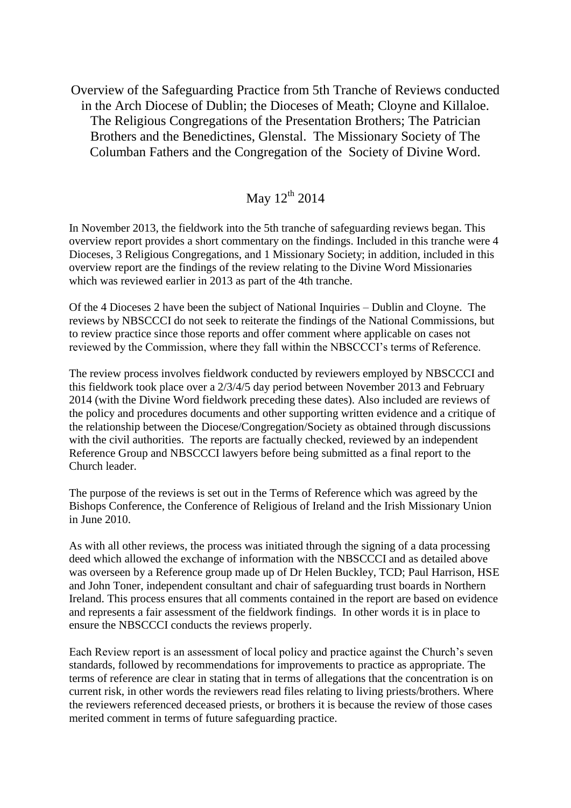Overview of the Safeguarding Practice from 5th Tranche of Reviews conducted in the Arch Diocese of Dublin; the Dioceses of Meath; Cloyne and Killaloe. The Religious Congregations of the Presentation Brothers; The Patrician Brothers and the Benedictines, Glenstal. The Missionary Society of The Columban Fathers and the Congregation of the Society of Divine Word.

## May  $12^{\text{th}}$  2014

In November 2013, the fieldwork into the 5th tranche of safeguarding reviews began. This overview report provides a short commentary on the findings. Included in this tranche were 4 Dioceses, 3 Religious Congregations, and 1 Missionary Society; in addition, included in this overview report are the findings of the review relating to the Divine Word Missionaries which was reviewed earlier in 2013 as part of the 4th tranche.

Of the 4 Dioceses 2 have been the subject of National Inquiries – Dublin and Cloyne. The reviews by NBSCCCI do not seek to reiterate the findings of the National Commissions, but to review practice since those reports and offer comment where applicable on cases not reviewed by the Commission, where they fall within the NBSCCCI's terms of Reference.

The review process involves fieldwork conducted by reviewers employed by NBSCCCI and this fieldwork took place over a 2/3/4/5 day period between November 2013 and February 2014 (with the Divine Word fieldwork preceding these dates). Also included are reviews of the policy and procedures documents and other supporting written evidence and a critique of the relationship between the Diocese/Congregation/Society as obtained through discussions with the civil authorities. The reports are factually checked, reviewed by an independent Reference Group and NBSCCCI lawyers before being submitted as a final report to the Church leader.

The purpose of the reviews is set out in the Terms of Reference which was agreed by the Bishops Conference, the Conference of Religious of Ireland and the Irish Missionary Union in June 2010.

As with all other reviews, the process was initiated through the signing of a data processing deed which allowed the exchange of information with the NBSCCCI and as detailed above was overseen by a Reference group made up of Dr Helen Buckley, TCD; Paul Harrison, HSE and John Toner, independent consultant and chair of safeguarding trust boards in Northern Ireland. This process ensures that all comments contained in the report are based on evidence and represents a fair assessment of the fieldwork findings. In other words it is in place to ensure the NBSCCCI conducts the reviews properly.

Each Review report is an assessment of local policy and practice against the Church's seven standards, followed by recommendations for improvements to practice as appropriate. The terms of reference are clear in stating that in terms of allegations that the concentration is on current risk, in other words the reviewers read files relating to living priests/brothers. Where the reviewers referenced deceased priests, or brothers it is because the review of those cases merited comment in terms of future safeguarding practice.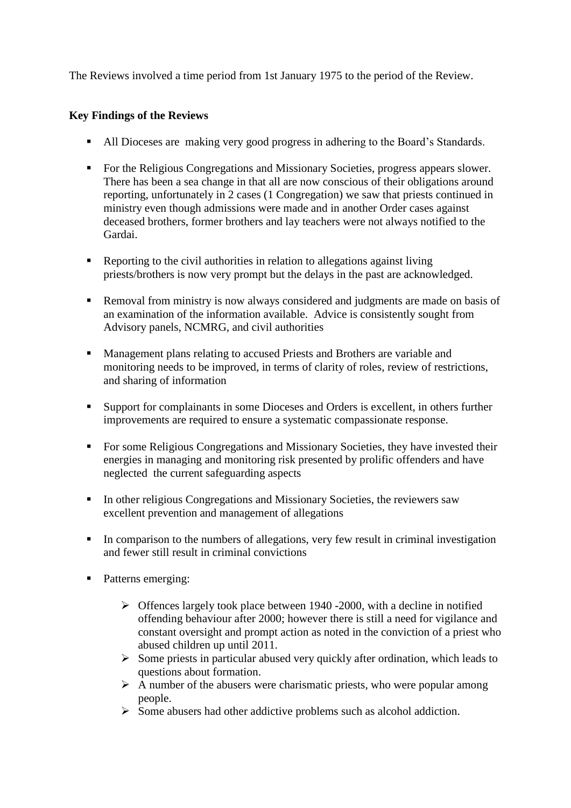The Reviews involved a time period from 1st January 1975 to the period of the Review.

## **Key Findings of the Reviews**

- All Dioceses are making very good progress in adhering to the Board's Standards.
- For the Religious Congregations and Missionary Societies, progress appears slower. There has been a sea change in that all are now conscious of their obligations around reporting, unfortunately in 2 cases (1 Congregation) we saw that priests continued in ministry even though admissions were made and in another Order cases against deceased brothers, former brothers and lay teachers were not always notified to the Gardai.
- Reporting to the civil authorities in relation to allegations against living priests/brothers is now very prompt but the delays in the past are acknowledged.
- Removal from ministry is now always considered and judgments are made on basis of an examination of the information available. Advice is consistently sought from Advisory panels, NCMRG, and civil authorities
- **Management plans relating to accused Priests and Brothers are variable and** monitoring needs to be improved, in terms of clarity of roles, review of restrictions, and sharing of information
- Support for complainants in some Dioceses and Orders is excellent, in others further improvements are required to ensure a systematic compassionate response.
- For some Religious Congregations and Missionary Societies, they have invested their energies in managing and monitoring risk presented by prolific offenders and have neglected the current safeguarding aspects
- In other religious Congregations and Missionary Societies, the reviewers saw excellent prevention and management of allegations
- In comparison to the numbers of allegations, very few result in criminal investigation and fewer still result in criminal convictions
- Patterns emerging:
	- $\triangleright$  Offences largely took place between 1940 -2000, with a decline in notified offending behaviour after 2000; however there is still a need for vigilance and constant oversight and prompt action as noted in the conviction of a priest who abused children up until 2011.
	- $\triangleright$  Some priests in particular abused very quickly after ordination, which leads to questions about formation.
	- $\triangleright$  A number of the abusers were charismatic priests, who were popular among people.
	- $\triangleright$  Some abusers had other addictive problems such as alcohol addiction.